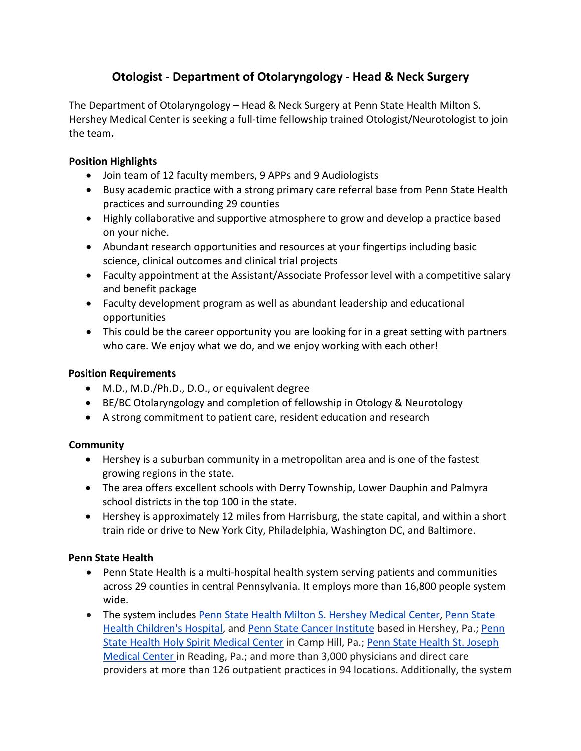# **Otologist - Department of Otolaryngology - Head & Neck Surgery**

The Department of Otolaryngology – Head & Neck Surgery at Penn State Health Milton S. Hershey Medical Center is seeking a full-time fellowship trained Otologist/Neurotologist to join the team**.**

#### **Position Highlights**

- Join team of 12 faculty members, 9 APPs and 9 Audiologists
- Busy academic practice with a strong primary care referral base from Penn State Health practices and surrounding 29 counties
- Highly collaborative and supportive atmosphere to grow and develop a practice based on your niche.
- Abundant research opportunities and resources at your fingertips including basic science, clinical outcomes and clinical trial projects
- Faculty appointment at the Assistant/Associate Professor level with a competitive salary and benefit package
- Faculty development program as well as abundant leadership and educational opportunities
- This could be the career opportunity you are looking for in a great setting with partners who care. We enjoy what we do, and we enjoy working with each other!

### **Position Requirements**

- M.D., M.D./Ph.D., D.O., or equivalent degree
- BE/BC Otolaryngology and completion of fellowship in Otology & Neurotology
- A strong commitment to patient care, resident education and research

## **Community**

- Hershey is a suburban community in a metropolitan area and is one of the fastest growing regions in the state.
- The area offers excellent schools with Derry Township, Lower Dauphin and Palmyra school districts in the top 100 in the state.
- Hershey is approximately 12 miles from Harrisburg, the state capital, and within a short train ride or drive to New York City, Philadelphia, Washington DC, and Baltimore.

## **Penn State Health**

- Penn State Health is a multi-hospital health system serving patients and communities across 29 counties in central Pennsylvania. It employs more than 16,800 people system wide.
- The system includes [Penn State Health Milton S. Hershey Medical Center,](https://www.pennstatehealth.org/locations/milton-s-hershey-medical-center) [Penn State](https://www.pennstatehealth.org/childrens)  [Health Children's Hospital,](https://www.pennstatehealth.org/childrens) and [Penn State Cancer Institute](https://cancer.psu.edu/) based in Hershey, Pa.; [Penn](https://www.pennstatehealth.org/locations/holy-spirit-medical-center)  [State Health Holy Spirit Medical Center](https://www.pennstatehealth.org/locations/holy-spirit-medical-center) in Camp Hill, Pa.; [Penn State Health St. Joseph](https://www.pennstatehealth.org/locations/st-joseph)  [Medical Center](https://www.pennstatehealth.org/locations/st-joseph) in Reading, Pa.; and more than 3,000 physicians and direct care providers at more than 126 outpatient practices in 94 locations. Additionally, the system